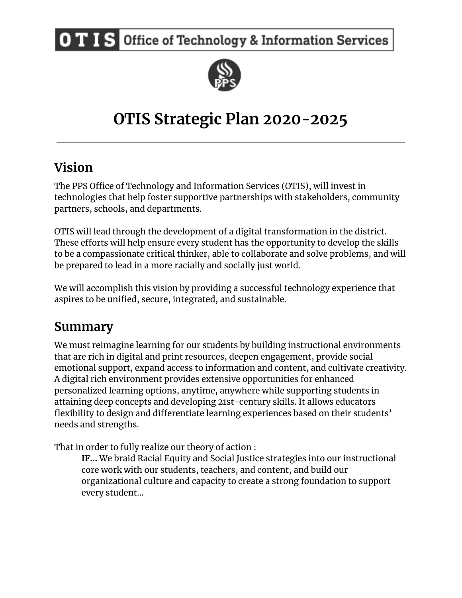**OTIS** Office of Technology & Information Services



# **OTIS Strategic Plan 2020-2025**

## **Vision**

The PPS Office of Technology and Information Services (OTIS), will invest in technologies that help foster supportive partnerships with stakeholders, community partners, schools, and departments.

OTIS will lead through the development of a digital transformation in the district. These efforts will help ensure every student has the opportunity to develop the skills to be a compassionate critical thinker, able to collaborate and solve problems, and will be prepared to lead in a more racially and socially just world.

We will accomplish this vision by providing a successful technology experience that aspires to be unified, secure, integrated, and sustainable.

## **Summary**

We must reimagine learning for our students by building instructional environments that are rich in digital and print resources, deepen engagement, provide social emotional support, expand access to information and content, and cultivate creativity. A digital rich environment provides extensive opportunities for enhanced personalized learning options, anytime, anywhere while supporting students in attaining deep concepts and developing 21st-century skills. It allows educators flexibility to design and differentiate learning experiences based on their students' needs and strengths.

That in order to fully realize our theory of action :

**IF...** We braid Racial Equity and Social Justice strategies into our instructional core work with our students, teachers, and content, and build our organizational culture and capacity to create a strong foundation to support every student...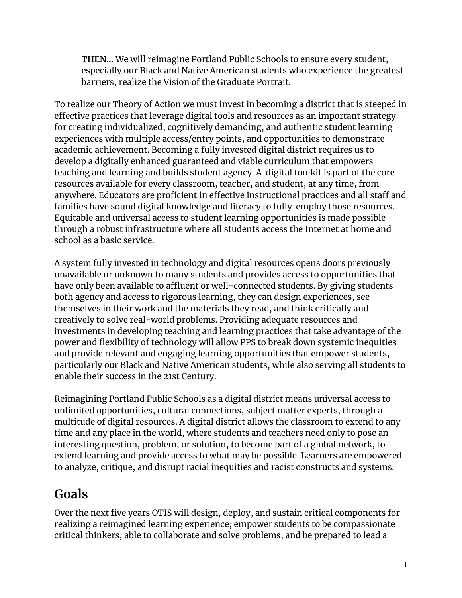**THEN...** We will reimagine Portland Public Schools to ensure every student, especially our Black and Native American students who experience the greatest barriers, realize the Vision of the Graduate Portrait.

To realize our Theory of Action we must invest in becoming a district that is steeped in effective practices that leverage digital tools and resources as an important strategy for creating individualized, cognitively demanding, and authentic student learning experiences with multiple access/entry points, and opportunities to demonstrate academic achievement. Becoming a fully invested digital district requires us to develop a digitally enhanced guaranteed and viable curriculum that empowers teaching and learning and builds student agency. A digital toolkit is part of the core resources available for every classroom, teacher, and student, at any time, from anywhere. Educators are proficient in effective instructional practices and all staff and families have sound digital knowledge and literacy to fully employ those resources. Equitable and universal access to student learning opportunities is made possible through a robust infrastructure where all students access the Internet at home and school as a basic service.

A system fully invested in technology and digital resources opens doors previously unavailable or unknown to many students and provides access to opportunities that have only been available to affluent or well-connected students. By giving students both agency and access to rigorous learning, they can design experiences, see themselves in their work and the materials they read, and think critically and creatively to solve real-world problems. Providing adequate resources and investments in developing teaching and learning practices that take advantage of the power and flexibility of technology will allow PPS to break down systemic inequities and provide relevant and engaging learning opportunities that empower students, particularly our Black and Native American students, while also serving all students to enable their success in the 21st Century.

Reimagining Portland Public Schools as a digital district means universal access to unlimited opportunities, cultural connections, subject matter experts, through a multitude of digital resources. A digital district allows the classroom to extend to any time and any place in the world, where students and teachers need only to pose an interesting question, problem, or solution, to become part of a global network, to extend learning and provide access to what may be possible. Learners are empowered to analyze, critique, and disrupt racial inequities and racist constructs and systems.

## **Goals**

Over the next five years OTIS will design, deploy, and sustain critical components for realizing a reimagined learning experience; empower students to be compassionate critical thinkers, able to collaborate and solve problems, and be prepared to lead a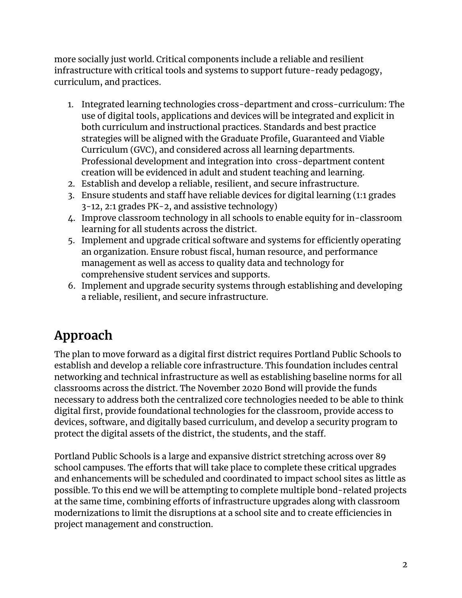more socially just world. Critical components include a reliable and resilient infrastructure with critical tools and systems to support future-ready pedagogy, curriculum, and practices.

- 1. Integrated learning technologies cross-department and cross-curriculum: The use of digital tools, applications and devices will be integrated and explicit in both curriculum and instructional practices. Standards and best practice strategies will be aligned with the Graduate Profile, Guaranteed and Viable Curriculum (GVC), and considered across all learning departments. Professional development and integration into cross-department content creation will be evidenced in adult and student teaching and learning.
- 2. Establish and develop a reliable, resilient, and secure infrastructure.
- 3. Ensure students and staff have reliable devices for digital learning (1:1 grades 3-12, 2:1 grades PK-2, and assistive technology)
- 4. Improve classroom technology in all schools to enable equity for in-classroom learning for all students across the district.
- 5. Implement and upgrade critical software and systems for efficiently operating an organization. Ensure robust fiscal, human resource, and performance management as well as access to quality data and technology for comprehensive student services and supports.
- 6. Implement and upgrade security systems through establishing and developing a reliable, resilient, and secure infrastructure.

## **Approach**

The plan to move forward as a digital first district requires Portland Public Schools to establish and develop a reliable core infrastructure. This foundation includes central networking and technical infrastructure as well as establishing baseline norms for all classrooms across the district. The November 2020 Bond will provide the funds necessary to address both the centralized core technologies needed to be able to think digital first, provide foundational technologies for the classroom, provide access to devices, software, and digitally based curriculum, and develop a security program to protect the digital assets of the district, the students, and the staff.

Portland Public Schools is a large and expansive district stretching across over 89 school campuses. The efforts that will take place to complete these critical upgrades and enhancements will be scheduled and coordinated to impact school sites as little as possible. To this end we will be attempting to complete multiple bond-related projects at the same time, combining efforts of infrastructure upgrades along with classroom modernizations to limit the disruptions at a school site and to create efficiencies in project management and construction.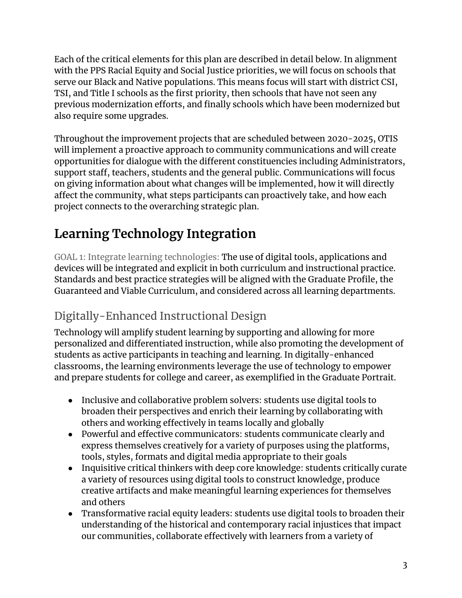Each of the critical elements for this plan are described in detail below. In alignment with the PPS Racial Equity and Social Justice priorities, we will focus on schools that serve our Black and Native populations. This means focus will start with district CSI, TSI, and Title I schools as the first priority, then schools that have not seen any previous modernization efforts, and finally schools which have been modernized but also require some upgrades.

Throughout the improvement projects that are scheduled between 2020-2025, OTIS will implement a proactive approach to community communications and will create opportunities for dialogue with the different constituencies including Administrators, support staff, teachers, students and the general public. Communications will focus on giving information about what changes will be implemented, how it will directly affect the community, what steps participants can proactively take, and how each project connects to the overarching strategic plan.

# **Learning Technology Integration**

GOAL 1: Integrate learning technologies: The use of digital tools, applications and devices will be integrated and explicit in both curriculum and instructional practice. Standards and best practice strategies will be aligned with the Graduate Profile, the Guaranteed and Viable Curriculum, and considered across all learning departments.

### Digitally-Enhanced Instructional Design

Technology will amplify student learning by supporting and allowing for more personalized and differentiated instruction, while also promoting the development of students as active participants in teaching and learning. In digitally-enhanced classrooms, the learning environments leverage the use of technology to empower and prepare students for college and career, as exemplified in the Graduate Portrait.

- Inclusive and collaborative problem solvers: students use digital tools to broaden their perspectives and enrich their learning by collaborating with others and working effectively in teams locally and globally
- Powerful and effective communicators: students communicate clearly and express themselves creatively for a variety of purposes using the platforms, tools, styles, formats and digital media appropriate to their goals
- Inquisitive critical thinkers with deep core knowledge: students critically curate a variety of resources using digital tools to construct knowledge, produce creative artifacts and make meaningful learning experiences for themselves and others
- Transformative racial equity leaders: students use digital tools to broaden their understanding of the historical and contemporary racial injustices that impact our communities, collaborate effectively with learners from a variety of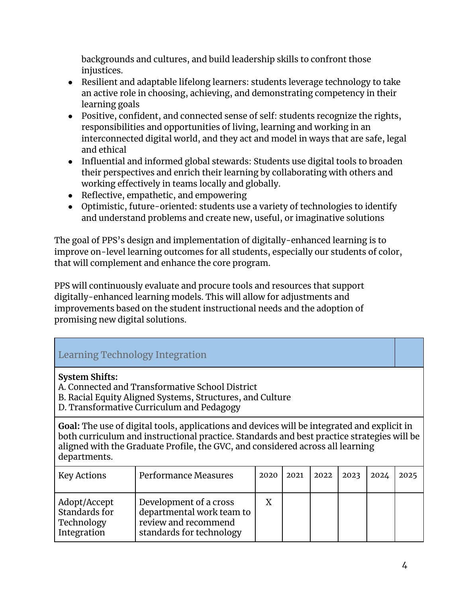backgrounds and cultures, and build leadership skills to confront those injustices.

- Resilient and adaptable lifelong learners: students leverage technology to take an active role in choosing, achieving, and demonstrating competency in their learning goals
- Positive, confident, and connected sense of self: students recognize the rights, responsibilities and opportunities of living, learning and working in an interconnected digital world, and they act and model in ways that are safe, legal and ethical
- Influential and informed global stewards: Students use digital tools to broaden their perspectives and enrich their learning by collaborating with others and working effectively in teams locally and globally.
- Reflective, empathetic, and empowering
- Optimistic, future-oriented: students use a variety of technologies to identify and understand problems and create new, useful, or imaginative solutions

The goal of PPS's design and implementation of digitally-enhanced learning is to improve on-level learning outcomes for all students, especially our students of color, that will complement and enhance the core program.

PPS will continuously evaluate and procure tools and resources that support digitally-enhanced learning models. This will allow for adjustments and improvements based on the student instructional needs and the adoption of promising new digital solutions.

#### Learning Technology Integration

#### **System Shifts:**

A. Connected and Transformative School District

- B. Racial Equity Aligned Systems, Structures, and Culture
- D. Transformative Curriculum and Pedagogy

**Goal:** The use of digital tools, applications and devices will be integrated and explicit in both curriculum and instructional practice. Standards and best practice strategies will be aligned with the Graduate Profile, the GVC, and considered across all learning departments.

| <b>Key Actions</b>                                         | Performance Measures                                                                                    | $2020$   2021 | 2022 | $ 2023\rangle$ | 2024 | 2025 |
|------------------------------------------------------------|---------------------------------------------------------------------------------------------------------|---------------|------|----------------|------|------|
| Adopt/Accept<br>Standards for<br>Technology<br>Integration | Development of a cross<br>departmental work team to<br>review and recommend<br>standards for technology |               |      |                |      |      |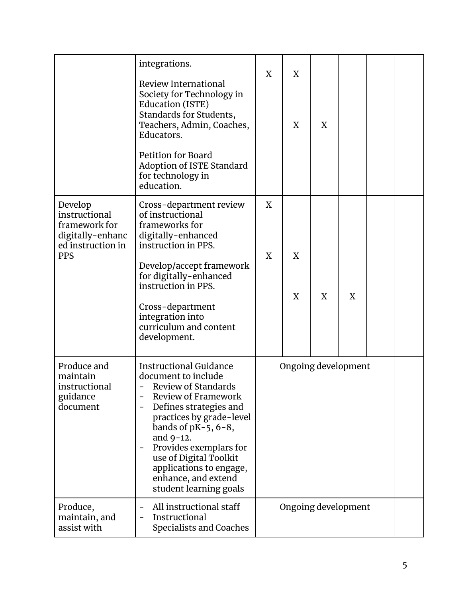|                                                                                                  | integrations.<br>Review International<br>Society for Technology in<br>Education (ISTE)<br>Standards for Students,<br>Teachers, Admin, Coaches,<br>Educators.<br><b>Petition for Board</b><br>Adoption of ISTE Standard<br>for technology in<br>education.                                                                                                                  | X      | X<br>X | X |                     |  |
|--------------------------------------------------------------------------------------------------|----------------------------------------------------------------------------------------------------------------------------------------------------------------------------------------------------------------------------------------------------------------------------------------------------------------------------------------------------------------------------|--------|--------|---|---------------------|--|
| Develop<br>instructional<br>framework for<br>digitally-enhanc<br>ed instruction in<br><b>PPS</b> | Cross-department review<br>of instructional<br>frameworks for<br>digitally-enhanced<br>instruction in PPS.<br>Develop/accept framework<br>for digitally-enhanced<br>instruction in PPS.<br>Cross-department<br>integration into<br>curriculum and content<br>development.                                                                                                  | X<br>X | X<br>X | X | X                   |  |
| Produce and<br>maintain<br>instructional<br>guidance<br>document                                 | <b>Instructional Guidance</b><br>document to include<br><b>Review of Standards</b><br>Review of Framework<br>Defines strategies and<br>-<br>practices by grade-level<br>bands of $pK-5$ , $6-8$ ,<br>and 9-12.<br>Provides exemplars for<br>$\overline{\phantom{0}}$<br>use of Digital Toolkit<br>applications to engage,<br>enhance, and extend<br>student learning goals |        |        |   | Ongoing development |  |
| Produce,<br>maintain, and<br>assist with                                                         | All instructional staff<br>$\overline{a}$<br>Instructional<br>$\overline{\phantom{0}}$<br>Specialists and Coaches                                                                                                                                                                                                                                                          |        |        |   | Ongoing development |  |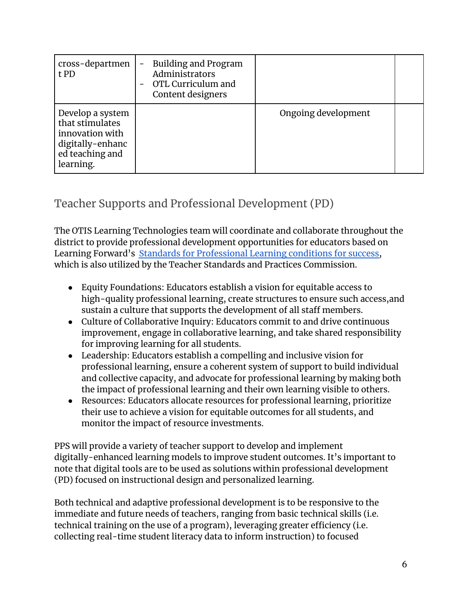| cross-departmen<br>t PD                                                                                    | <b>Building and Program</b><br>Administrators<br>OTL Curriculum and<br>Content designers |                     |  |
|------------------------------------------------------------------------------------------------------------|------------------------------------------------------------------------------------------|---------------------|--|
| Develop a system<br>that stimulates<br>innovation with<br>digitally-enhanc<br>ed teaching and<br>learning. |                                                                                          | Ongoing development |  |

### Teacher Supports and Professional Development (PD)

The OTIS Learning Technologies team will coordinate and collaborate throughout the district to provide professional development opportunities for educators based on Learning Forward's Standards for [Professional](https://learningforward.org/standards/standards-revision/) Learning conditions for success, which is also utilized by the Teacher Standards and Practices Commission.

- Equity Foundations: Educators establish a vision for equitable access to high-quality professional learning, create structures to ensure such access,and sustain a culture that supports the development of all staff members.
- Culture of Collaborative Inquiry: Educators commit to and drive continuous improvement, engage in collaborative learning, and take shared responsibility for improving learning for all students.
- Leadership: Educators establish a compelling and inclusive vision for professional learning, ensure a coherent system of support to build individual and collective capacity, and advocate for professional learning by making both the impact of professional learning and their own learning visible to others.
- Resources: Educators allocate resources for professional learning, prioritize their use to achieve a vision for equitable outcomes for all students, and monitor the impact of resource investments.

PPS will provide a variety of teacher support to develop and implement digitally-enhanced learning models to improve student outcomes. It's important to note that digital tools are to be used as solutions within professional development (PD) focused on instructional design and personalized learning.

Both technical and adaptive professional development is to be responsive to the immediate and future needs of teachers, ranging from basic technical skills (i.e. technical training on the use of a program), leveraging greater efficiency (i.e. collecting real-time student literacy data to inform instruction) to focused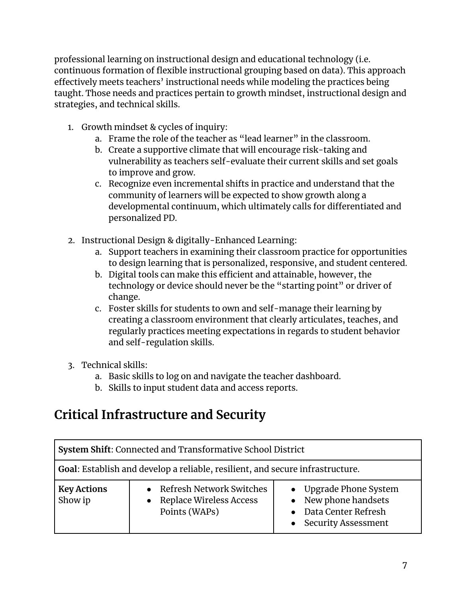professional learning on instructional design and educational technology (i.e. continuous formation of flexible instructional grouping based on data). This approach effectively meets teachers' instructional needs while modeling the practices being taught. Those needs and practices pertain to growth mindset, instructional design and strategies, and technical skills.

- 1. Growth mindset & cycles of inquiry:
	- a. Frame the role of the teacher as "lead learner" in the classroom.
	- b. Create a supportive climate that will encourage risk-taking and vulnerability as teachers self-evaluate their current skills and set goals to improve and grow.
	- c. Recognize even incremental shifts in practice and understand that the community of learners will be expected to show growth along a developmental continuum, which ultimately calls for differentiated and personalized PD.
- 2. Instructional Design & digitally-Enhanced Learning:
	- a. Support teachers in examining their classroom practice for opportunities to design learning that is personalized, responsive, and student centered.
	- b. Digital tools can make this efficient and attainable, however, the technology or device should never be the "starting point" or driver of change.
	- c. Foster skills for students to own and self-manage their learning by creating a classroom environment that clearly articulates, teaches, and regularly practices meeting expectations in regards to student behavior and self-regulation skills.
- 3. Technical skills:
	- a. Basic skills to log on and navigate the teacher dashboard.
	- b. Skills to input student data and access reports.

## **Critical Infrastructure and Security**

| System Shift: Connected and Transformative School District                    |                                                                          |                                                                                                     |  |  |  |  |  |
|-------------------------------------------------------------------------------|--------------------------------------------------------------------------|-----------------------------------------------------------------------------------------------------|--|--|--|--|--|
| Goal: Establish and develop a reliable, resilient, and secure infrastructure. |                                                                          |                                                                                                     |  |  |  |  |  |
| <b>Key Actions</b><br>Show ip                                                 | • Refresh Network Switches<br>• Replace Wireless Access<br>Points (WAPs) | • Upgrade Phone System<br>• New phone handsets<br>Data Center Refresh<br><b>Security Assessment</b> |  |  |  |  |  |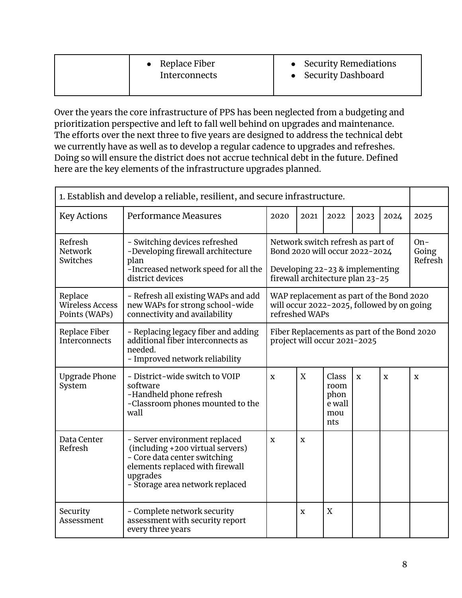| • Replace Fiber<br>Interconnects | • Security Remediations<br>• Security Dashboard |
|----------------------------------|-------------------------------------------------|
|                                  |                                                 |

Over the years the core infrastructure of PPS has been neglected from a budgeting and prioritization perspective and left to fall well behind on upgrades and maintenance. The efforts over the next three to five years are designed to address the technical debt we currently have as well as to develop a regular cadence to upgrades and refreshes. Doing so will ensure the district does not accrue technical debt in the future. Defined here are the key elements of the infrastructure upgrades planned.

| 1. Establish and develop a reliable, resilient, and secure infrastructure. |                                                                                                                                                                                     |                                                                             |                |                                                                                                                                                |             |                                                                                        |                           |
|----------------------------------------------------------------------------|-------------------------------------------------------------------------------------------------------------------------------------------------------------------------------------|-----------------------------------------------------------------------------|----------------|------------------------------------------------------------------------------------------------------------------------------------------------|-------------|----------------------------------------------------------------------------------------|---------------------------|
| <b>Key Actions</b>                                                         | Performance Measures                                                                                                                                                                | 2020                                                                        | 2021           | 2022                                                                                                                                           | 2023        | 2024                                                                                   | 2025                      |
| Refresh<br>Network<br>Switches                                             | - Switching devices refreshed<br>-Developing firewall architecture<br>plan<br>-Increased network speed for all the<br>district devices                                              |                                                                             |                | Network switch refresh as part of<br>Bond 2020 will occur 2022-2024<br>Developing $22 - 23$ & implementing<br>firewall architecture plan 23-25 |             |                                                                                        | $On-$<br>Going<br>Refresh |
| Replace<br><b>Wireless Access</b><br>Points (WAPs)                         | - Refresh all existing WAPs and add<br>new WAPs for strong school-wide<br>connectivity and availability                                                                             |                                                                             | refreshed WAPs |                                                                                                                                                |             | WAP replacement as part of the Bond 2020<br>will occur 2022-2025, followed by on going |                           |
| Replace Fiber<br><b>Interconnects</b>                                      | - Replacing legacy fiber and adding<br>additional fiber interconnects as<br>needed.<br>- Improved network reliability                                                               | Fiber Replacements as part of the Bond 2020<br>project will occur 2021-2025 |                |                                                                                                                                                |             |                                                                                        |                           |
| <b>Upgrade Phone</b><br>System                                             | - District-wide switch to VOIP<br>software<br>-Handheld phone refresh<br>-Classroom phones mounted to the<br>wall                                                                   | $\mathbf X$                                                                 | X              | Class<br>room<br>phon<br>e wall<br>mou<br>nts                                                                                                  | $\mathbf X$ | $\mathbf X$                                                                            | X                         |
| Data Center<br>Refresh                                                     | - Server environment replaced<br>(including +200 virtual servers)<br>- Core data center switching<br>elements replaced with firewall<br>upgrades<br>- Storage area network replaced | $\mathbf X$                                                                 | X              |                                                                                                                                                |             |                                                                                        |                           |
| Security<br>Assessment                                                     | - Complete network security<br>assessment with security report<br>every three years                                                                                                 |                                                                             | X              | X                                                                                                                                              |             |                                                                                        |                           |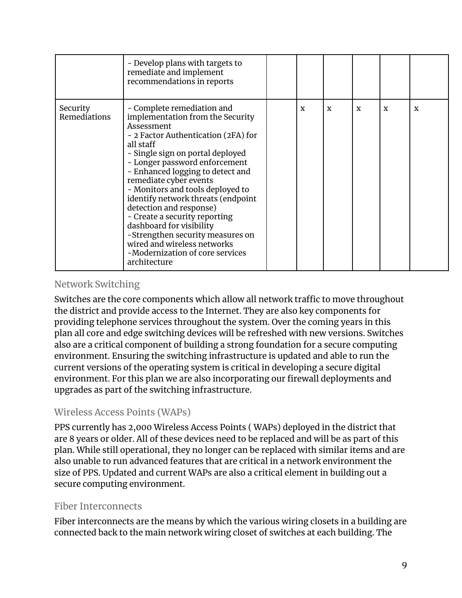|                                 | - Develop plans with targets to<br>remediate and implement<br>recommendations in reports                                                                                                                                                                                                                                                                                                                                                                                                                                                                    |   |   |             |             |   |
|---------------------------------|-------------------------------------------------------------------------------------------------------------------------------------------------------------------------------------------------------------------------------------------------------------------------------------------------------------------------------------------------------------------------------------------------------------------------------------------------------------------------------------------------------------------------------------------------------------|---|---|-------------|-------------|---|
| Security<br><b>Remediations</b> | - Complete remediation and<br>implementation from the Security<br>Assessment<br>- 2 Factor Authentication (2FA) for<br>all staff<br>- Single sign on portal deployed<br>- Longer password enforcement<br>- Enhanced logging to detect and<br>remediate cyber events<br>- Monitors and tools deployed to<br>identify network threats (endpoint<br>detection and response)<br>- Create a security reporting<br>dashboard for visibility<br>-Strengthen security measures on<br>wired and wireless networks<br>-Modernization of core services<br>architecture | X | X | $\mathbf x$ | $\mathbf x$ | X |

#### Network Switching

Switches are the core components which allow all network traffic to move throughout the district and provide access to the Internet. They are also key components for providing telephone services throughout the system. Over the coming years in this plan all core and edge switching devices will be refreshed with new versions. Switches also are a critical component of building a strong foundation for a secure computing environment. Ensuring the switching infrastructure is updated and able to run the current versions of the operating system is critical in developing a secure digital environment. For this plan we are also incorporating our firewall deployments and upgrades as part of the switching infrastructure.

#### Wireless Access Points (WAPs)

PPS currently has 2,000 Wireless Access Points ( WAPs) deployed in the district that are 8 years or older. All of these devices need to be replaced and will be as part of this plan. While still operational, they no longer can be replaced with similar items and are also unable to run advanced features that are critical in a network environment the size of PPS. Updated and current WAPs are also a critical element in building out a secure computing environment.

#### Fiber Interconnects

Fiber interconnects are the means by which the various wiring closets in a building are connected back to the main network wiring closet of switches at each building. The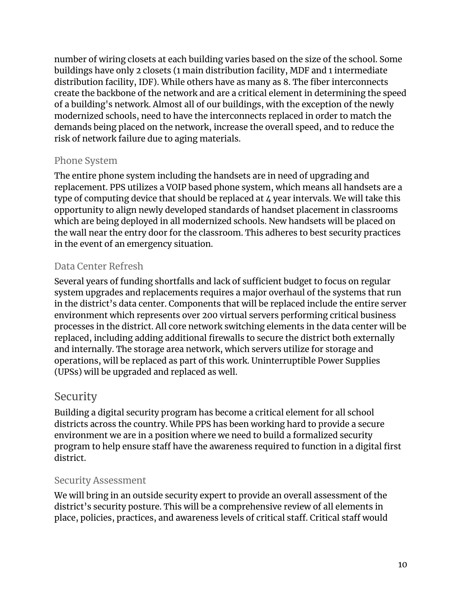number of wiring closets at each building varies based on the size of the school. Some buildings have only 2 closets (1 main distribution facility, MDF and 1 intermediate distribution facility, IDF). While others have as many as 8. The fiber interconnects create the backbone of the network and are a critical element in determining the speed of a building's network. Almost all of our buildings, with the exception of the newly modernized schools, need to have the interconnects replaced in order to match the demands being placed on the network, increase the overall speed, and to reduce the risk of network failure due to aging materials.

#### Phone System

The entire phone system including the handsets are in need of upgrading and replacement. PPS utilizes a VOIP based phone system, which means all handsets are a type of computing device that should be replaced at 4 year intervals. We will take this opportunity to align newly developed standards of handset placement in classrooms which are being deployed in all modernized schools. New handsets will be placed on the wall near the entry door for the classroom. This adheres to best security practices in the event of an emergency situation.

#### Data Center Refresh

Several years of funding shortfalls and lack of sufficient budget to focus on regular system upgrades and replacements requires a major overhaul of the systems that run in the district's data center. Components that will be replaced include the entire server environment which represents over 200 virtual servers performing critical business processes in the district. All core network switching elements in the data center will be replaced, including adding additional firewalls to secure the district both externally and internally. The storage area network, which servers utilize for storage and operations, will be replaced as part of this work. Uninterruptible Power Supplies (UPSs) will be upgraded and replaced as well.

#### Security

Building a digital security program has become a critical element for all school districts across the country. While PPS has been working hard to provide a secure environment we are in a position where we need to build a formalized security program to help ensure staff have the awareness required to function in a digital first district.

#### Security Assessment

We will bring in an outside security expert to provide an overall assessment of the district's security posture. This will be a comprehensive review of all elements in place, policies, practices, and awareness levels of critical staff. Critical staff would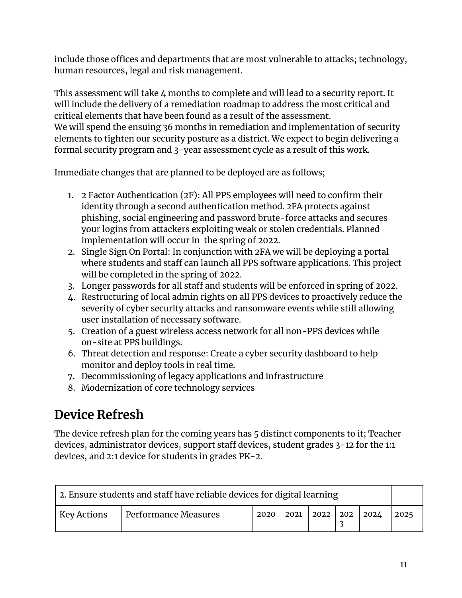include those offices and departments that are most vulnerable to attacks; technology, human resources, legal and risk management.

This assessment will take 4 months to complete and will lead to a security report. It will include the delivery of a remediation roadmap to address the most critical and critical elements that have been found as a result of the assessment. We will spend the ensuing 36 months in remediation and implementation of security elements to tighten our security posture as a district. We expect to begin delivering a formal security program and 3-year assessment cycle as a result of this work.

Immediate changes that are planned to be deployed are as follows;

- 1. 2 Factor Authentication (2F): All PPS employees will need to confirm their identity through a second authentication method. 2FA protects against phishing, social engineering and password brute-force attacks and secures your logins from attackers exploiting weak or stolen credentials. Planned implementation will occur in the spring of 2022.
- 2. Single Sign On Portal: In conjunction with 2FA we will be deploying a portal where students and staff can launch all PPS software applications. This project will be completed in the spring of 2022.
- 3. Longer passwords for all staff and students will be enforced in spring of 2022.
- 4. Restructuring of local admin rights on all PPS devices to proactively reduce the severity of cyber security attacks and ransomware events while still allowing user installation of necessary software.
- 5. Creation of a guest wireless access network for all non-PPS devices while on-site at PPS buildings.
- 6. Threat detection and response: Create a cyber security dashboard to help monitor and deploy tools in real time.
- 7. Decommissioning of legacy applications and infrastructure
- 8. Modernization of core technology services

## **Device Refresh**

The device refresh plan for the coming years has 5 distinct components to it; Teacher devices, administrator devices, support staff devices, student grades 3-12 for the 1:1 devices, and 2:1 device for students in grades PK-2.

| 2. Ensure students and staff have reliable devices for digital learning |                      |      |                                       |  |  |      |      |
|-------------------------------------------------------------------------|----------------------|------|---------------------------------------|--|--|------|------|
| <b>Key Actions</b>                                                      | Performance Measures | 2020 | $\vert$ 2021 $\vert$ 2022 $\vert$ 202 |  |  | 2024 | 2025 |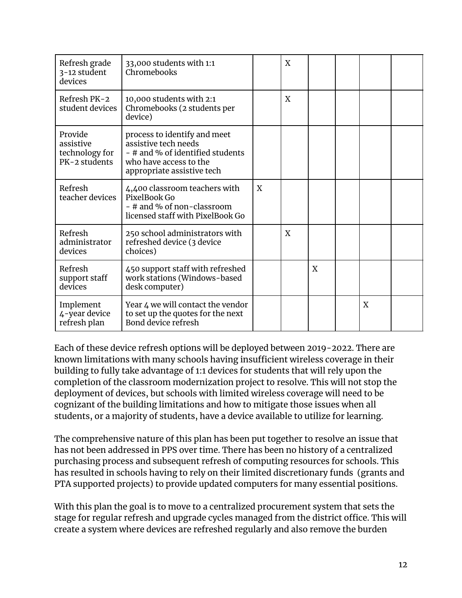| Refresh grade<br>3-12 student<br>devices                | 33,000 students with 1:1<br>Chromebooks                                                                                                          |   | X |   |   |  |
|---------------------------------------------------------|--------------------------------------------------------------------------------------------------------------------------------------------------|---|---|---|---|--|
| Refresh PK-2<br>student devices                         | 10,000 students with 2:1<br>Chromebooks (2 students per<br>device)                                                                               |   | X |   |   |  |
| Provide<br>assistive<br>technology for<br>PK-2 students | process to identify and meet<br>assistive tech needs<br>- # and % of identified students<br>who have access to the<br>appropriate assistive tech |   |   |   |   |  |
| Refresh<br>teacher devices                              | 4,400 classroom teachers with<br>PixelBook Go<br>- # and % of non-classroom<br>licensed staff with PixelBook Go                                  | X |   |   |   |  |
| Refresh<br>administrator<br>devices                     | 250 school administrators with<br>refreshed device (3 device<br>choices)                                                                         |   | X |   |   |  |
| Refresh<br>support staff<br>devices                     | 450 support staff with refreshed<br>work stations (Windows-based<br>desk computer)                                                               |   |   | X |   |  |
| Implement<br>4-year device<br>refresh plan              | Year 4 we will contact the vendor<br>to set up the quotes for the next<br>Bond device refresh                                                    |   |   |   | X |  |

Each of these device refresh options will be deployed between 2019-2022. There are known limitations with many schools having insufficient wireless coverage in their building to fully take advantage of 1:1 devices for students that will rely upon the completion of the classroom modernization project to resolve. This will not stop the deployment of devices, but schools with limited wireless coverage will need to be cognizant of the building limitations and how to mitigate those issues when all students, or a majority of students, have a device available to utilize for learning.

The comprehensive nature of this plan has been put together to resolve an issue that has not been addressed in PPS over time. There has been no history of a centralized purchasing process and subsequent refresh of computing resources for schools. This has resulted in schools having to rely on their limited discretionary funds (grants and PTA supported projects) to provide updated computers for many essential positions.

With this plan the goal is to move to a centralized procurement system that sets the stage for regular refresh and upgrade cycles managed from the district office. This will create a system where devices are refreshed regularly and also remove the burden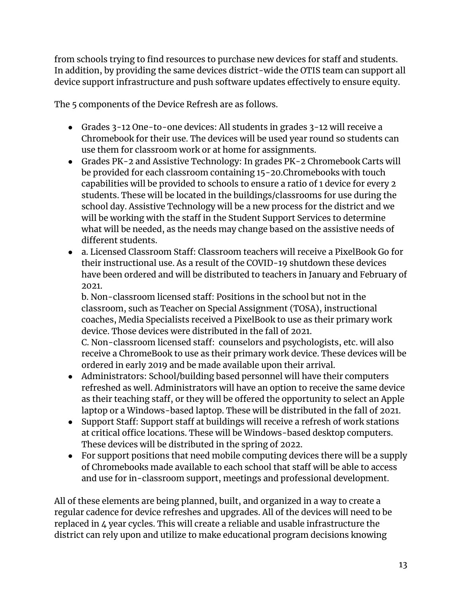from schools trying to find resources to purchase new devices for staff and students. In addition, by providing the same devices district-wide the OTIS team can support all device support infrastructure and push software updates effectively to ensure equity.

The 5 components of the Device Refresh are as follows.

- Grades 3-12 One-to-one devices: All students in grades 3-12 will receive a Chromebook for their use. The devices will be used year round so students can use them for classroom work or at home for assignments.
- Grades PK-2 and Assistive Technology: In grades PK-2 Chromebook Carts will be provided for each classroom containing 15-20.Chromebooks with touch capabilities will be provided to schools to ensure a ratio of 1 device for every 2 students. These will be located in the buildings/classrooms for use during the school day. Assistive Technology will be a new process for the district and we will be working with the staff in the Student Support Services to determine what will be needed, as the needs may change based on the assistive needs of different students.
- a. Licensed Classroom Staff: Classroom teachers will receive a PixelBook Go for their instructional use. As a result of the COVID-19 shutdown these devices have been ordered and will be distributed to teachers in January and February of 2021.

b. Non-classroom licensed staff: Positions in the school but not in the classroom, such as Teacher on Special Assignment (TOSA), instructional coaches, Media Specialists received a PixelBook to use as their primary work device. Those devices were distributed in the fall of 2021.

C. Non-classroom licensed staff: counselors and psychologists, etc. will also receive a ChromeBook to use as their primary work device. These devices will be ordered in early 2019 and be made available upon their arrival.

- Administrators: School/building based personnel will have their computers refreshed as well. Administrators will have an option to receive the same device as their teaching staff, or they will be offered the opportunity to select an Apple laptop or a Windows-based laptop. These will be distributed in the fall of 2021.
- Support Staff: Support staff at buildings will receive a refresh of work stations at critical office locations. These will be Windows-based desktop computers. These devices will be distributed in the spring of 2022.
- For support positions that need mobile computing devices there will be a supply of Chromebooks made available to each school that staff will be able to access and use for in-classroom support, meetings and professional development.

All of these elements are being planned, built, and organized in a way to create a regular cadence for device refreshes and upgrades. All of the devices will need to be replaced in 4 year cycles. This will create a reliable and usable infrastructure the district can rely upon and utilize to make educational program decisions knowing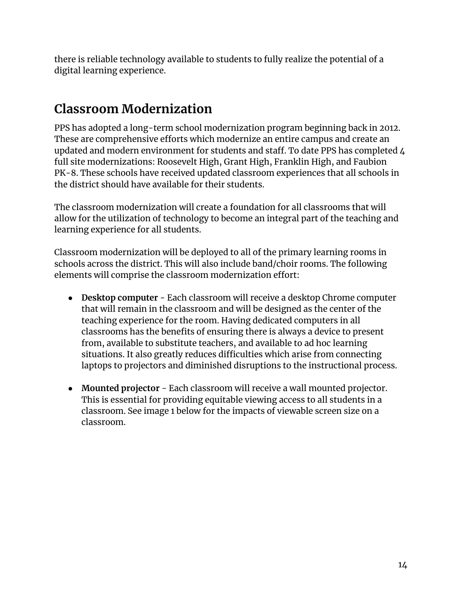there is reliable technology available to students to fully realize the potential of a digital learning experience.

## **Classroom Modernization**

PPS has adopted a long-term school modernization program beginning back in 2012. These are comprehensive efforts which modernize an entire campus and create an updated and modern environment for students and staff. To date PPS has completed 4 full site modernizations: Roosevelt High, Grant High, Franklin High, and Faubion PK-8. These schools have received updated classroom experiences that all schools in the district should have available for their students.

The classroom modernization will create a foundation for all classrooms that will allow for the utilization of technology to become an integral part of the teaching and learning experience for all students.

Classroom modernization will be deployed to all of the primary learning rooms in schools across the district. This will also include band/choir rooms. The following elements will comprise the classroom modernization effort:

- **Desktop computer** Each classroom will receive a desktop Chrome computer that will remain in the classroom and will be designed as the center of the teaching experience for the room. Having dedicated computers in all classrooms has the benefits of ensuring there is always a device to present from, available to substitute teachers, and available to ad hoc learning situations. It also greatly reduces difficulties which arise from connecting laptops to projectors and diminished disruptions to the instructional process.
- **Mounted projector** Each classroom will receive a wall mounted projector. This is essential for providing equitable viewing access to all students in a classroom. See image 1 below for the impacts of viewable screen size on a classroom.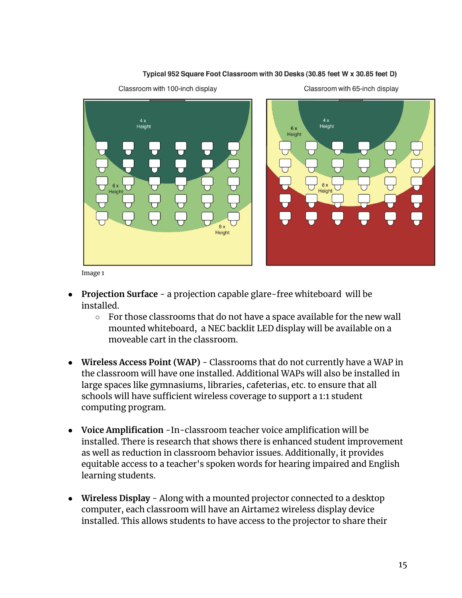

#### Typical 952 Square Foot Classroom with 30 Desks (30.85 feet W x 30.85 feet D)

Image 1

- **● Projection Surface** a projection capable glare-free whiteboard will be installed.
	- **○** For those classrooms that do not have a space available for the new wall mounted whiteboard, a NEC backlit LED display will be available on a moveable cart in the classroom.
- **● Wireless Access Point (WAP)** Classrooms that do not currently have a WAP in the classroom will have one installed. Additional WAPs will also be installed in large spaces like gymnasiums, libraries, cafeterias, etc. to ensure that all schools will have sufficient wireless coverage to support a 1:1 student computing program.
- **● Voice Amplification** -In-classroom teacher voice amplification will be installed. There is research that shows there is enhanced student improvement as well as reduction in classroom behavior issues. Additionally, it provides equitable access to a teacher's spoken words for hearing impaired and English learning students.
- **● Wireless Display** Along with a mounted projector connected to a desktop computer, each classroom will have an Airtame2 wireless display device installed. This allows students to have access to the projector to share their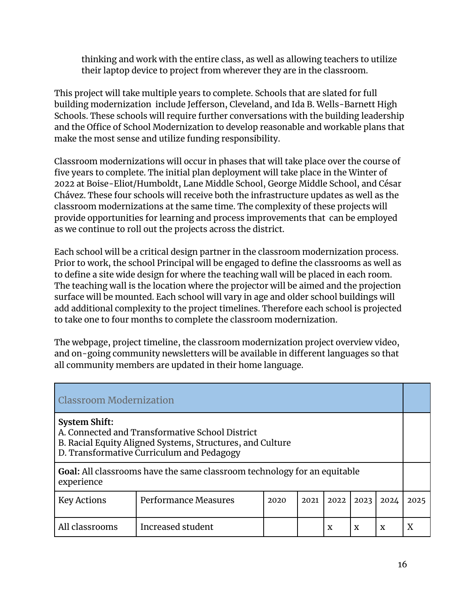thinking and work with the entire class, as well as allowing teachers to utilize their laptop device to project from wherever they are in the classroom.

This project will take multiple years to complete. Schools that are slated for full building modernization include Jefferson, Cleveland, and Ida B. Wells-Barnett High Schools. These schools will require further conversations with the building leadership and the Office of School Modernization to develop reasonable and workable plans that make the most sense and utilize funding responsibility.

Classroom modernizations will occur in phases that will take place over the course of five years to complete. The initial plan deployment will take place in the Winter of 2022 at Boise-Eliot/Humboldt, Lane Middle School, George Middle School, and César Chávez. These four schools will receive both the infrastructure updates as well as the classroom modernizations at the same time. The complexity of these projects will provide opportunities for learning and process improvements that can be employed as we continue to roll out the projects across the district.

Each school will be a critical design partner in the classroom modernization process. Prior to work, the school Principal will be engaged to define the classrooms as well as to define a site wide design for where the teaching wall will be placed in each room. The teaching wall is the location where the projector will be aimed and the projection surface will be mounted. Each school will vary in age and older school buildings will add additional complexity to the project timelines. Therefore each school is projected to take one to four months to complete the classroom modernization.

The webpage, project timeline, the classroom modernization project overview video, and on-going community newsletters will be available in different languages so that all community members are updated in their home language.

| <b>Classroom Modernization</b>                                                                                                                                                    |                                                                                 |      |      |      |      |             |      |
|-----------------------------------------------------------------------------------------------------------------------------------------------------------------------------------|---------------------------------------------------------------------------------|------|------|------|------|-------------|------|
| <b>System Shift:</b><br>A. Connected and Transformative School District<br>B. Racial Equity Aligned Systems, Structures, and Culture<br>D. Transformative Curriculum and Pedagogy |                                                                                 |      |      |      |      |             |      |
| experience                                                                                                                                                                        | <b>Goal:</b> All classrooms have the same classroom technology for an equitable |      |      |      |      |             |      |
| <b>Key Actions</b>                                                                                                                                                                | Performance Measures                                                            | 2020 | 2021 | 2022 | 2023 | 2024        | 2025 |
| All classrooms                                                                                                                                                                    | Increased student                                                               |      |      | X    | X    | $\mathbf x$ |      |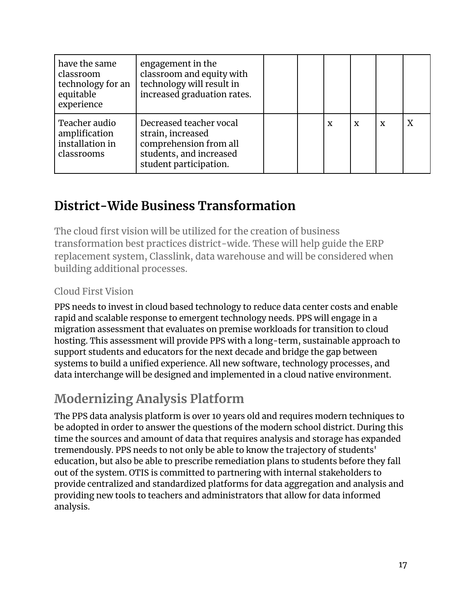| have the same<br>classroom<br>technology for an<br>equitable<br>experience | engagement in the<br>classroom and equity with<br>technology will result in<br>increased graduation rates.                  |  |   |             |   |   |
|----------------------------------------------------------------------------|-----------------------------------------------------------------------------------------------------------------------------|--|---|-------------|---|---|
| Teacher audio<br>amplification<br>installation in<br>classrooms            | Decreased teacher vocal<br>strain, increased<br>comprehension from all<br>students, and increased<br>student participation. |  | X | $\mathbf x$ | X | Χ |

## **District-Wide Business Transformation**

The cloud first vision will be utilized for the creation of business transformation best practices district-wide. These will help guide the ERP replacement system, Classlink, data warehouse and will be considered when building additional processes.

#### Cloud First Vision

PPS needs to invest in cloud based technology to reduce data center costs and enable rapid and scalable response to emergent technology needs. PPS will engage in a migration assessment that evaluates on premise workloads for transition to cloud hosting. This assessment will provide PPS with a long-term, sustainable approach to support students and educators for the next decade and bridge the gap between systems to build a unified experience. All new software, technology processes, and data interchange will be designed and implemented in a cloud native environment.

## **Modernizing Analysis Platform**

The PPS data analysis platform is over 10 years old and requires modern techniques to be adopted in order to answer the questions of the modern school district. During this time the sources and amount of data that requires analysis and storage has expanded tremendously. PPS needs to not only be able to know the trajectory of students' education, but also be able to prescribe remediation plans to students before they fall out of the system. OTIS is committed to partnering with internal stakeholders to provide centralized and standardized platforms for data aggregation and analysis and providing new tools to teachers and administrators that allow for data informed analysis.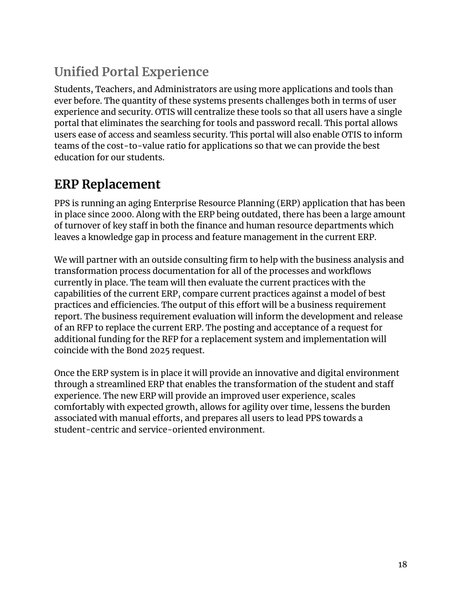# **Unified Portal Experience**

Students, Teachers, and Administrators are using more applications and tools than ever before. The quantity of these systems presents challenges both in terms of user experience and security. OTIS will centralize these tools so that all users have a single portal that eliminates the searching for tools and password recall. This portal allows users ease of access and seamless security. This portal will also enable OTIS to inform teams of the cost-to-value ratio for applications so that we can provide the best education for our students.

## **ERP Replacement**

PPS is running an aging Enterprise Resource Planning (ERP) application that has been in place since 2000. Along with the ERP being outdated, there has been a large amount of turnover of key staff in both the finance and human resource departments which leaves a knowledge gap in process and feature management in the current ERP.

We will partner with an outside consulting firm to help with the business analysis and transformation process documentation for all of the processes and workflows currently in place. The team will then evaluate the current practices with the capabilities of the current ERP, compare current practices against a model of best practices and efficiencies. The output of this effort will be a business requirement report. The business requirement evaluation will inform the development and release of an RFP to replace the current ERP. The posting and acceptance of a request for additional funding for the RFP for a replacement system and implementation will coincide with the Bond 2025 request.

Once the ERP system is in place it will provide an innovative and digital environment through a streamlined ERP that enables the transformation of the student and staff experience. The new ERP will provide an improved user experience, scales comfortably with expected growth, allows for agility over time, lessens the burden associated with manual efforts, and prepares all users to lead PPS towards a student-centric and service-oriented environment.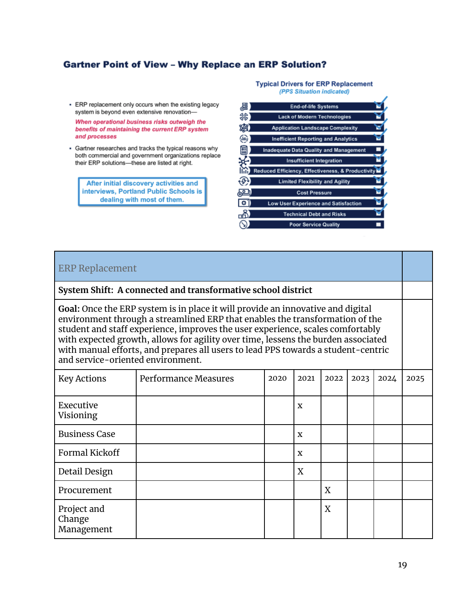#### **Gartner Point of View - Why Replace an ERP Solution?**

- ERP replacement only occurs when the existing legacy system is beyond even extensive renovation-

When operational business risks outweigh the benefits of maintaining the current ERP system and processes

• Gartner researches and tracks the typical reasons why both commercial and government organizations replace their ERP solutions-these are listed at right.

After initial discovery activities and interviews, Portland Public Schools is dealing with most of them.

#### **Typical Drivers for ERP Replacement** (PPS Situation indicated)

| 藠        | <b>End-of-life Systems</b>                        |  |
|----------|---------------------------------------------------|--|
| స్ట్రిస్ | <b>Lack of Modern Technologies</b>                |  |
|          | <b>Application Landscape Complexity</b>           |  |
| Guò      | <b>Inefficient Reporting and Analytics</b>        |  |
| ₩        | <b>Inadequate Data Quality and Management</b>     |  |
|          | <b>Insufficient Integration</b>                   |  |
|          | Reduced Efficiency, Effectiveness, & Productivity |  |
|          | <b>Limited Flexibility and Agility</b>            |  |
|          | <b>Cost Pressure</b>                              |  |
| ا ن      | <b>Low User Experience and Satisfaction</b>       |  |
| ਛੀ       | <b>Technical Debt and Risks</b>                   |  |
|          | <b>Poor Service Quality</b>                       |  |

#### ERP Replacement

#### **System Shift: A connected and transformative school district**

**Goal:** Once the ERP system is in place it will provide an innovative and digital environment through a streamlined ERP that enables the transformation of the student and staff experience, improves the user experience, scales comfortably with expected growth, allows for agility over time, lessens the burden associated with manual efforts, and prepares all users to lead PPS towards a student-centric and service-oriented environment.

| <b>Key Actions</b>                  | Performance Measures | 2020 | 2021 | 2022 | 2023 | 2024 | 2025 |
|-------------------------------------|----------------------|------|------|------|------|------|------|
| Executive<br>Visioning              |                      |      | X    |      |      |      |      |
| <b>Business Case</b>                |                      |      | X    |      |      |      |      |
| <b>Formal Kickoff</b>               |                      |      | X    |      |      |      |      |
| Detail Design                       |                      |      | X    |      |      |      |      |
| Procurement                         |                      |      |      | X    |      |      |      |
| Project and<br>Change<br>Management |                      |      |      | X    |      |      |      |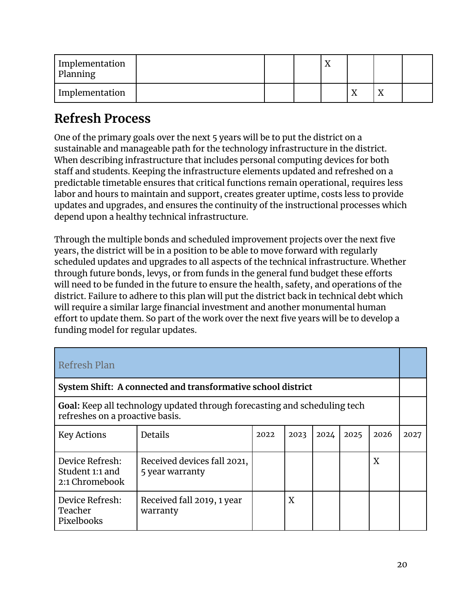| 'Implementation<br>Planning |  | ∡⊾ |    |    |  |
|-----------------------------|--|----|----|----|--|
| Implementation              |  |    | ∡⊾ | ∡⊾ |  |

## **Refresh Process**

One of the primary goals over the next 5 years will be to put the district on a sustainable and manageable path for the technology infrastructure in the district. When describing infrastructure that includes personal computing devices for both staff and students. Keeping the infrastructure elements updated and refreshed on a predictable timetable ensures that critical functions remain operational, requires less labor and hours to maintain and support, creates greater uptime, costs less to provide updates and upgrades, and ensures the continuity of the instructional processes which depend upon a healthy technical infrastructure.

Through the multiple bonds and scheduled improvement projects over the next five years, the district will be in a position to be able to move forward with regularly scheduled updates and upgrades to all aspects of the technical infrastructure. Whether through future bonds, levys, or from funds in the general fund budget these efforts will need to be funded in the future to ensure the health, safety, and operations of the district. Failure to adhere to this plan will put the district back in technical debt which will require a similar large financial investment and another monumental human effort to update them. So part of the work over the next five years will be to develop a funding model for regular updates.

| Refresh Plan                                                                                                 |                                                |      |      |      |      |      |      |
|--------------------------------------------------------------------------------------------------------------|------------------------------------------------|------|------|------|------|------|------|
| System Shift: A connected and transformative school district                                                 |                                                |      |      |      |      |      |      |
| Goal: Keep all technology updated through forecasting and scheduling tech<br>refreshes on a proactive basis. |                                                |      |      |      |      |      |      |
| <b>Key Actions</b>                                                                                           | <b>Details</b>                                 | 2022 | 2023 | 2024 | 2025 | 2026 | 2027 |
| Device Refresh:<br>Student 1:1 and<br>2:1 Chromebook                                                         | Received devices fall 2021,<br>5 year warranty |      |      |      |      | X    |      |
| Device Refresh:<br>Teacher<br>Pixelbooks                                                                     | Received fall 2019, 1 year<br>warranty         |      | X    |      |      |      |      |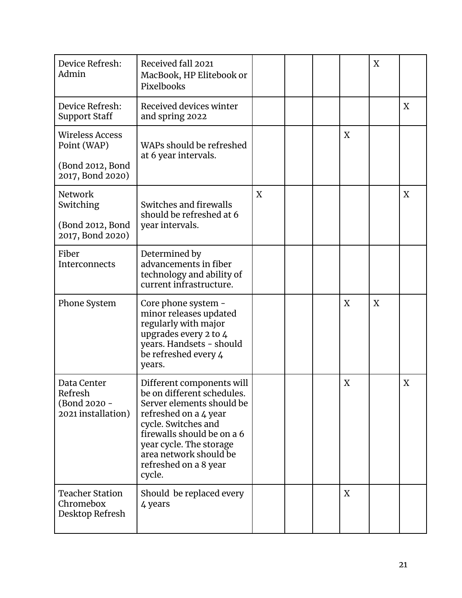| Device Refresh:<br>Admin                                                      | Received fall 2021<br>MacBook, HP Elitebook or<br>Pixelbooks                                                                                                                                                                                               |   |  |   | X |   |
|-------------------------------------------------------------------------------|------------------------------------------------------------------------------------------------------------------------------------------------------------------------------------------------------------------------------------------------------------|---|--|---|---|---|
| Device Refresh:<br><b>Support Staff</b>                                       | Received devices winter<br>and spring 2022                                                                                                                                                                                                                 |   |  |   |   | X |
| <b>Wireless Access</b><br>Point (WAP)<br>(Bond 2012, Bond<br>2017, Bond 2020) | WAPs should be refreshed<br>at 6 year intervals.                                                                                                                                                                                                           |   |  | X |   |   |
| Network<br>Switching<br>(Bond 2012, Bond<br>2017, Bond 2020)                  | Switches and firewalls<br>should be refreshed at 6<br>year intervals.                                                                                                                                                                                      | X |  |   |   | X |
| Fiber<br><b>Interconnects</b>                                                 | Determined by<br>advancements in fiber<br>technology and ability of<br>current infrastructure.                                                                                                                                                             |   |  |   |   |   |
| Phone System                                                                  | Core phone system -<br>minor releases updated<br>regularly with major<br>upgrades every 2 to 4<br>years. Handsets - should<br>be refreshed every 4<br>years.                                                                                               |   |  | X | X |   |
| Data Center<br>Refresh<br>(Bond 2020 -<br>2021 installation)                  | Different components will<br>be on different schedules.<br>Server elements should be<br>refreshed on a 4 year<br>cycle. Switches and<br>firewalls should be on a 6<br>year cycle. The storage<br>area network should be<br>refreshed on a 8 year<br>cycle. |   |  | X |   | X |
| <b>Teacher Station</b><br>Chromebox<br>Desktop Refresh                        | Should be replaced every<br>4 years                                                                                                                                                                                                                        |   |  | X |   |   |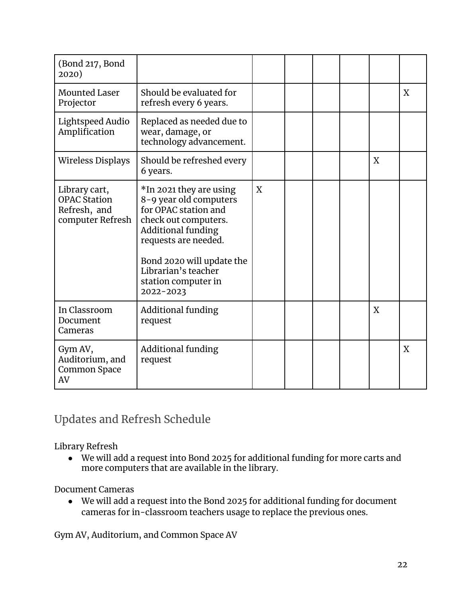| (Bond 217, Bond<br>2020)                                                 |                                                                                                                                                                                                                                                |   |  |   |   |
|--------------------------------------------------------------------------|------------------------------------------------------------------------------------------------------------------------------------------------------------------------------------------------------------------------------------------------|---|--|---|---|
| <b>Mounted Laser</b><br>Projector                                        | Should be evaluated for<br>refresh every 6 years.                                                                                                                                                                                              |   |  |   | X |
| Lightspeed Audio<br>Amplification                                        | Replaced as needed due to<br>wear, damage, or<br>technology advancement.                                                                                                                                                                       |   |  |   |   |
| Wireless Displays                                                        | Should be refreshed every<br>6 years.                                                                                                                                                                                                          |   |  | X |   |
| Library cart,<br><b>OPAC Station</b><br>Refresh, and<br>computer Refresh | *In 2021 they are using<br>8-9 year old computers<br>for OPAC station and<br>check out computers.<br><b>Additional funding</b><br>requests are needed.<br>Bond 2020 will update the<br>Librarian's teacher<br>station computer in<br>2022-2023 | X |  |   |   |
| In Classroom<br>Document<br>Cameras                                      | Additional funding<br>request                                                                                                                                                                                                                  |   |  | X |   |
| Gym AV,<br>Auditorium, and<br>Common Space<br>AV                         | Additional funding<br>request                                                                                                                                                                                                                  |   |  |   | X |

#### Updates and Refresh Schedule

Library Refresh

● We will add a request into Bond 2025 for additional funding for more carts and more computers that are available in the library.

#### Document Cameras

● We will add a request into the Bond 2025 for additional funding for document cameras for in-classroom teachers usage to replace the previous ones.

Gym AV, Auditorium, and Common Space AV